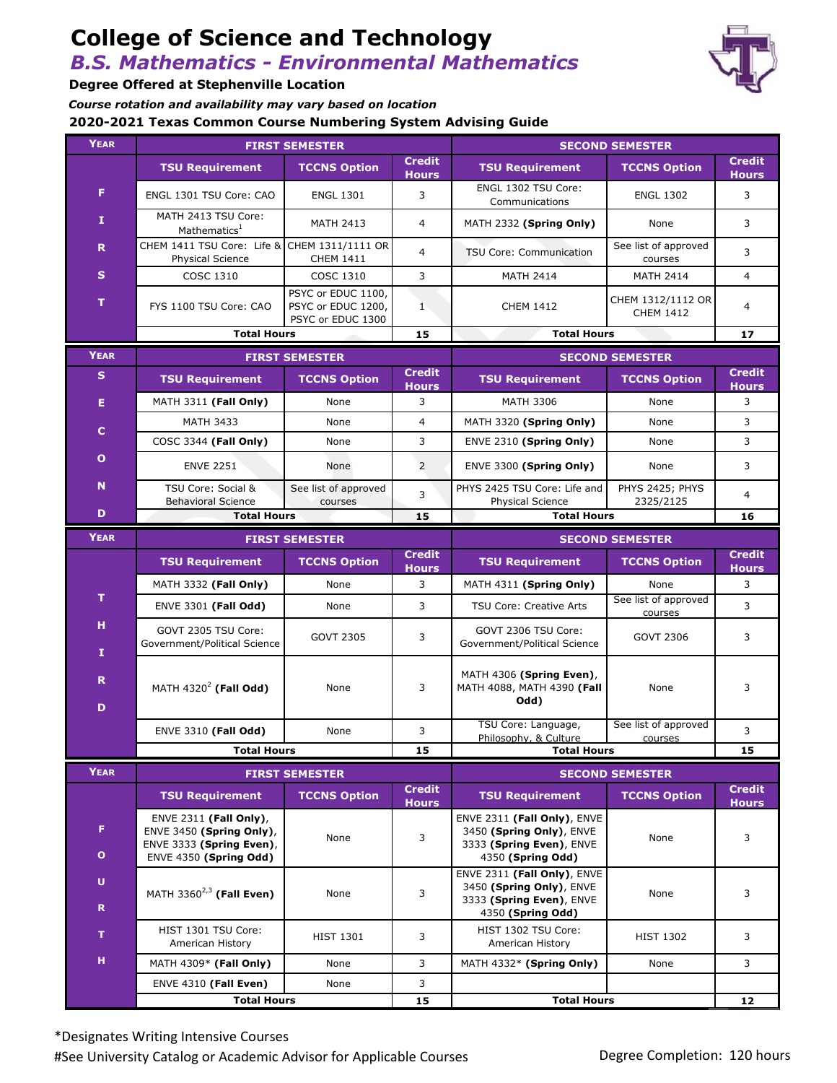## **College of Science and Technology**  *B.S. Mathematics - Environmental Mathematics*

**Degree Offered at Stephenville Location**

*Course rotation and availability may vary based on location*

**2020-2021 Texas Common Course Numbering System Advising Guide**



| <b>YEAR</b>       | <b>FIRST SEMESTER</b>                                                                                    |                                                               |                               | <b>SECOND SEMESTER</b>                                                                                   |                                       |                               |
|-------------------|----------------------------------------------------------------------------------------------------------|---------------------------------------------------------------|-------------------------------|----------------------------------------------------------------------------------------------------------|---------------------------------------|-------------------------------|
|                   | <b>TSU Requirement</b>                                                                                   | <b>TCCNS Option</b>                                           | <b>Credit</b><br><b>Hours</b> | <b>TSU Requirement</b>                                                                                   | <b>TCCNS Option</b>                   | <b>Credit</b><br><b>Hours</b> |
| F                 | ENGL 1301 TSU Core: CAO                                                                                  | <b>ENGL 1301</b>                                              | 3                             | ENGL 1302 TSU Core:<br>Communications                                                                    | <b>ENGL 1302</b>                      | 3                             |
| 1                 | MATH 2413 TSU Core:<br>Mathematics <sup>1</sup>                                                          | <b>MATH 2413</b>                                              | $\overline{4}$                | MATH 2332 (Spring Only)                                                                                  | None                                  | 3                             |
| R.                | CHEM 1411 TSU Core: Life &<br>Physical Science                                                           | CHEM 1311/1111 OR<br><b>CHEM 1411</b>                         | $\overline{4}$                | <b>TSU Core: Communication</b>                                                                           | See list of approved<br>courses       | 3                             |
| $\mathbf{s}$      | COSC 1310                                                                                                | COSC 1310                                                     | 3                             | <b>MATH 2414</b>                                                                                         | <b>MATH 2414</b>                      | 4                             |
| т                 | FYS 1100 TSU Core: CAO                                                                                   | PSYC or EDUC 1100,<br>PSYC or EDUC 1200,<br>PSYC or EDUC 1300 | $\mathbf{1}$                  | <b>CHEM 1412</b>                                                                                         | CHEM 1312/1112 OR<br><b>CHEM 1412</b> | $\overline{4}$                |
|                   | <b>Total Hours</b>                                                                                       |                                                               | 15                            | <b>Total Hours</b>                                                                                       |                                       | 17                            |
| <b>YEAR</b>       |                                                                                                          | <b>FIRST SEMESTER</b>                                         |                               | <b>SECOND SEMESTER</b>                                                                                   |                                       |                               |
| S                 | <b>TSU Requirement</b>                                                                                   | <b>TCCNS Option</b>                                           | <b>Credit</b><br><b>Hours</b> | <b>TSU Requirement</b>                                                                                   | <b>TCCNS Option</b>                   | <b>Credit</b><br><b>Hours</b> |
| Е                 | MATH 3311 (Fall Only)                                                                                    | None                                                          | 3                             | <b>MATH 3306</b>                                                                                         | None                                  | 3                             |
| C                 | <b>MATH 3433</b>                                                                                         | None                                                          | $\overline{4}$                | MATH 3320 (Spring Only)                                                                                  | None                                  | 3                             |
|                   | COSC 3344 (Fall Only)                                                                                    | None                                                          | 3                             | ENVE 2310 (Spring Only)                                                                                  | None                                  | 3                             |
| $\mathbf{o}$      | <b>ENVE 2251</b>                                                                                         | None                                                          | $\overline{2}$                | ENVE 3300 (Spring Only)                                                                                  | None                                  | 3                             |
| N                 | TSU Core: Social &<br><b>Behavioral Science</b>                                                          | See list of approved<br>courses                               | 3                             | PHYS 2425 TSU Core: Life and<br>Physical Science                                                         | PHYS 2425; PHYS<br>2325/2125          | 4                             |
| D                 | <b>Total Hours</b>                                                                                       |                                                               | 15                            | <b>Total Hours</b>                                                                                       |                                       | 16                            |
| <b>YEAR</b>       | <b>FIRST SEMESTER</b>                                                                                    |                                                               |                               | <b>SECOND SEMESTER</b>                                                                                   |                                       |                               |
|                   | <b>TSU Requirement</b>                                                                                   | <b>TCCNS Option</b>                                           | <b>Credit</b><br><b>Hours</b> | <b>TSU Requirement</b>                                                                                   | <b>TCCNS Option</b>                   | <b>Credit</b><br><b>Hours</b> |
|                   | MATH 3332 (Fall Only)                                                                                    | None                                                          | 3                             | MATH 4311 (Spring Only)                                                                                  | None                                  | 3                             |
| т                 | ENVE 3301 (Fall Odd)                                                                                     | None                                                          | 3                             | <b>TSU Core: Creative Arts</b>                                                                           | See list of approved<br>courses       | 3                             |
| н<br>1            | GOVT 2305 TSU Core:<br>Government/Political Science                                                      | <b>GOVT 2305</b>                                              | 3                             | GOVT 2306 TSU Core:<br>Government/Political Science                                                      | <b>GOVT 2306</b>                      | 3                             |
| R<br>D            | MATH $4320^2$ (Fall Odd)                                                                                 | None                                                          | 3                             | MATH 4306 (Spring Even),<br>MATH 4088, MATH 4390 (Fall<br>Odd)                                           | None                                  | 3                             |
|                   | ENVE 3310 (Fall Odd)                                                                                     | None                                                          | 3                             | TSU Core: Language,<br>Philosophy, & Culture                                                             | See list of approved                  | 3                             |
|                   | <b>Total Hours</b>                                                                                       |                                                               | 15                            | <b>Total Hours</b>                                                                                       | courses                               | 15                            |
| <b>YEAR</b>       | <b>FIRST SEMESTER</b>                                                                                    |                                                               |                               | <b>SECOND SEMESTER</b>                                                                                   |                                       |                               |
|                   | <b>TSU Requirement</b>                                                                                   | <b>TCCNS Option</b>                                           | <b>Credit</b><br><b>Hours</b> | <b>TSU Requirement</b>                                                                                   | <b>TCCNS Option</b>                   | <b>Credit</b><br><b>Hours</b> |
| F<br>$\mathbf{o}$ | ENVE 2311 (Fall Only),<br>ENVE 3450 (Spring Only),<br>ENVE 3333 (Spring Even),<br>ENVE 4350 (Spring Odd) | None                                                          | 3                             | ENVE 2311 (Fall Only), ENVE<br>3450 (Spring Only), ENVE<br>3333 (Spring Even), ENVE<br>4350 (Spring Odd) | None                                  | 3                             |
| U<br>$\mathbf R$  | MATH 3360 $^{2,3}$ (Fall Even)                                                                           | None                                                          | 3                             | ENVE 2311 (Fall Only), ENVE<br>3450 (Spring Only), ENVE<br>3333 (Spring Even), ENVE<br>4350 (Spring Odd) | None                                  | 3                             |
| $\mathbf T$       | HIST 1301 TSU Core:<br>American History                                                                  | <b>HIST 1301</b>                                              | 3                             | HIST 1302 TSU Core:<br>American History                                                                  | <b>HIST 1302</b>                      | 3                             |
| н                 | MATH 4309* (Fall Only)                                                                                   | None                                                          | 3                             | MATH 4332* (Spring Only)                                                                                 | None                                  | 3                             |
|                   | ENVE 4310 (Fall Even)                                                                                    | None                                                          | 3                             |                                                                                                          |                                       |                               |
|                   | <b>Total Hours</b>                                                                                       |                                                               | 15                            | <b>Total Hours</b>                                                                                       |                                       | 12                            |

\*Designates Writing Intensive Courses #See University Catalog or Academic Advisor for Applicable Courses **Degree Completion: 120 hours**